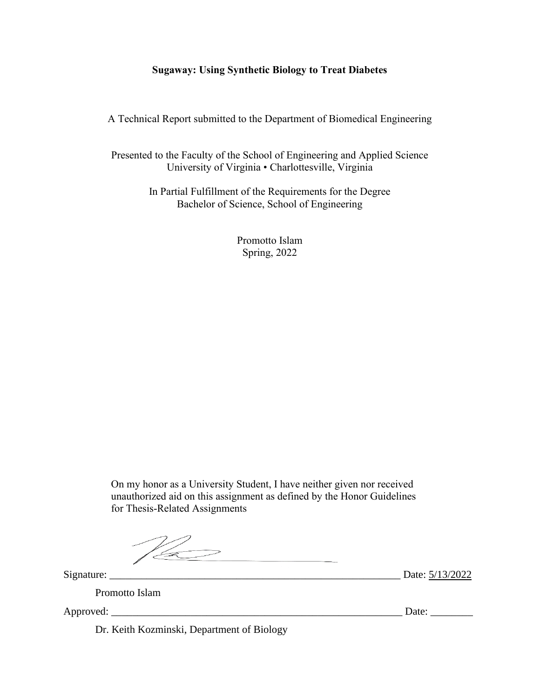# **Sugaway: Using Synthetic Biology to Treat Diabetes**

A Technical Report submitted to the Department of Biomedical Engineering

Presented to the Faculty of the School of Engineering and Applied Science University of Virginia • Charlottesville, Virginia

> In Partial Fulfillment of the Requirements for the Degree Bachelor of Science, School of Engineering

> > Promotto Islam Spring, 2022

On my honor as a University Student, I have neither given nor received unauthorized aid on this assignment as defined by the Honor Guidelines for Thesis-Related Assignments

 $\mathbb{Z}$ 

Signature: \_\_\_\_\_\_\_\_\_\_\_\_\_\_\_\_\_\_\_\_\_\_\_\_\_\_\_\_\_\_\_\_\_\_\_\_\_\_\_\_\_\_\_\_\_\_\_\_\_\_\_\_\_\_\_ Date: 5/13/2022

Promotto Islam

Dr. Keith Kozminski, Department of Biology

Approved: \_\_\_\_\_\_\_\_\_\_\_\_\_\_\_\_\_\_\_\_\_\_\_\_\_\_\_\_\_\_\_\_\_\_\_\_\_\_\_\_\_\_\_\_\_\_\_\_\_\_\_\_\_\_\_ Date: \_\_\_\_\_\_\_\_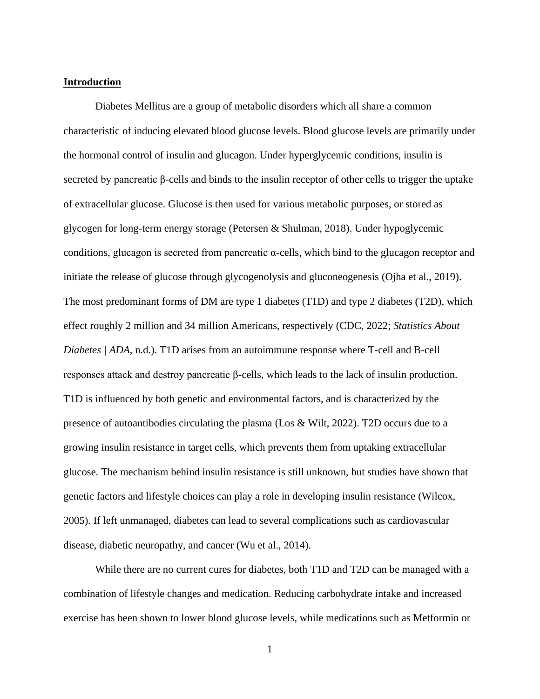### **Introduction**

Diabetes Mellitus are a group of metabolic disorders which all share a common characteristic of inducing elevated blood glucose levels. Blood glucose levels are primarily under the hormonal control of insulin and glucagon. Under hyperglycemic conditions, insulin is secreted by pancreatic β-cells and binds to the insulin receptor of other cells to trigger the uptake of extracellular glucose. Glucose is then used for various metabolic purposes, or stored as glycogen for long-term energy storage (Petersen & Shulman, 2018). Under hypoglycemic conditions, glucagon is secreted from pancreatic α-cells, which bind to the glucagon receptor and initiate the release of glucose through glycogenolysis and gluconeogenesis (Ojha et al., 2019). The most predominant forms of DM are type 1 diabetes (T1D) and type 2 diabetes (T2D), which effect roughly 2 million and 34 million Americans, respectively (CDC, 2022; *Statistics About Diabetes | ADA*, n.d.). T1D arises from an autoimmune response where T-cell and B-cell responses attack and destroy pancreatic β-cells, which leads to the lack of insulin production. T1D is influenced by both genetic and environmental factors, and is characterized by the presence of autoantibodies circulating the plasma (Los & Wilt, 2022). T2D occurs due to a growing insulin resistance in target cells, which prevents them from uptaking extracellular glucose. The mechanism behind insulin resistance is still unknown, but studies have shown that genetic factors and lifestyle choices can play a role in developing insulin resistance (Wilcox, 2005). If left unmanaged, diabetes can lead to several complications such as cardiovascular disease, diabetic neuropathy, and cancer (Wu et al., 2014).

While there are no current cures for diabetes, both T1D and T2D can be managed with a combination of lifestyle changes and medication. Reducing carbohydrate intake and increased exercise has been shown to lower blood glucose levels, while medications such as Metformin or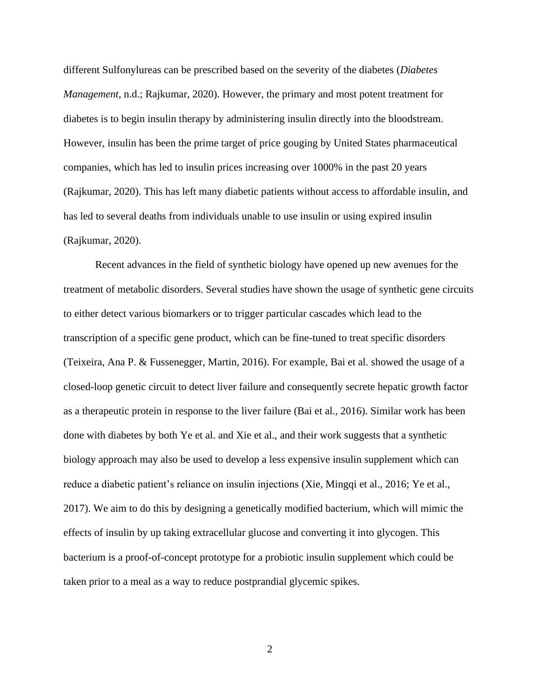different Sulfonylureas can be prescribed based on the severity of the diabetes (*Diabetes Management*, n.d.; Rajkumar, 2020). However, the primary and most potent treatment for diabetes is to begin insulin therapy by administering insulin directly into the bloodstream. However, insulin has been the prime target of price gouging by United States pharmaceutical companies, which has led to insulin prices increasing over 1000% in the past 20 years (Rajkumar, 2020). This has left many diabetic patients without access to affordable insulin, and has led to several deaths from individuals unable to use insulin or using expired insulin (Rajkumar, 2020).

Recent advances in the field of synthetic biology have opened up new avenues for the treatment of metabolic disorders. Several studies have shown the usage of synthetic gene circuits to either detect various biomarkers or to trigger particular cascades which lead to the transcription of a specific gene product, which can be fine-tuned to treat specific disorders (Teixeira, Ana P. & Fussenegger, Martin, 2016). For example, Bai et al. showed the usage of a closed-loop genetic circuit to detect liver failure and consequently secrete hepatic growth factor as a therapeutic protein in response to the liver failure (Bai et al., 2016). Similar work has been done with diabetes by both Ye et al. and Xie et al., and their work suggests that a synthetic biology approach may also be used to develop a less expensive insulin supplement which can reduce a diabetic patient's reliance on insulin injections (Xie, Mingqi et al., 2016; Ye et al., 2017). We aim to do this by designing a genetically modified bacterium, which will mimic the effects of insulin by up taking extracellular glucose and converting it into glycogen. This bacterium is a proof-of-concept prototype for a probiotic insulin supplement which could be taken prior to a meal as a way to reduce postprandial glycemic spikes.

2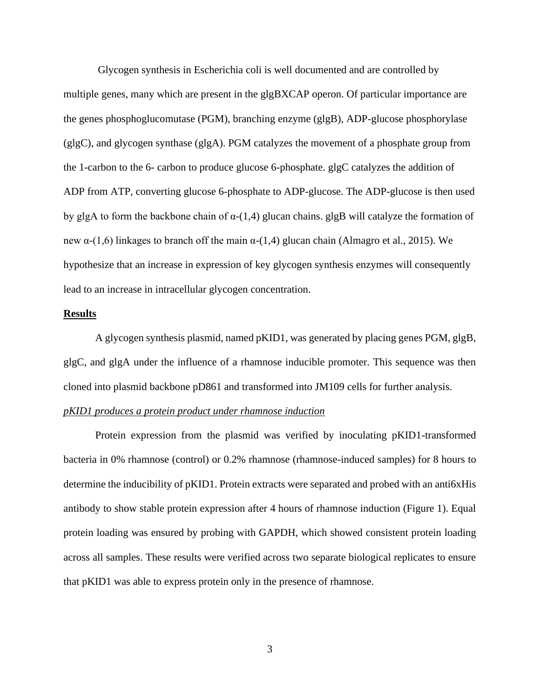Glycogen synthesis in Escherichia coli is well documented and are controlled by multiple genes, many which are present in the glgBXCAP operon. Of particular importance are the genes phosphoglucomutase (PGM), branching enzyme (glgB), ADP-glucose phosphorylase (glgC), and glycogen synthase (glgA). PGM catalyzes the movement of a phosphate group from the 1-carbon to the 6- carbon to produce glucose 6-phosphate. glgC catalyzes the addition of ADP from ATP, converting glucose 6-phosphate to ADP-glucose. The ADP-glucose is then used by glgA to form the backbone chain of  $\alpha$ -(1,4) glucan chains. glgB will catalyze the formation of new  $\alpha$ -(1,6) linkages to branch off the main  $\alpha$ -(1,4) glucan chain (Almagro et al., 2015). We hypothesize that an increase in expression of key glycogen synthesis enzymes will consequently lead to an increase in intracellular glycogen concentration.

## **Results**

A glycogen synthesis plasmid, named pKID1, was generated by placing genes PGM, glgB, glgC, and glgA under the influence of a rhamnose inducible promoter. This sequence was then cloned into plasmid backbone pD861 and transformed into JM109 cells for further analysis.

# *pKID1 produces a protein product under rhamnose induction*

Protein expression from the plasmid was verified by inoculating pKID1-transformed bacteria in 0% rhamnose (control) or 0.2% rhamnose (rhamnose-induced samples) for 8 hours to determine the inducibility of pKID1. Protein extracts were separated and probed with an anti6xHis antibody to show stable protein expression after 4 hours of rhamnose induction (Figure 1). Equal protein loading was ensured by probing with GAPDH, which showed consistent protein loading across all samples. These results were verified across two separate biological replicates to ensure that pKID1 was able to express protein only in the presence of rhamnose.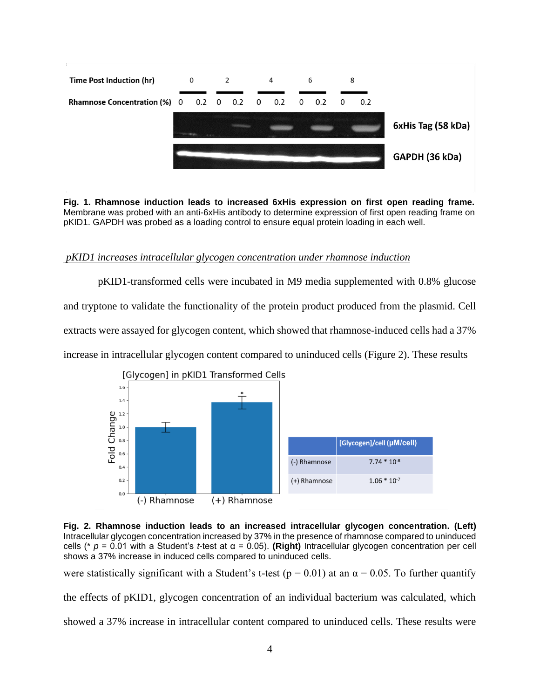

**Fig. 1. Rhamnose induction leads to increased 6xHis expression on first open reading frame.**  Membrane was probed with an anti-6xHis antibody to determine expression of first open reading frame on pKID1. GAPDH was probed as a loading control to ensure equal protein loading in each well.

# *pKID1 increases intracellular glycogen concentration under rhamnose induction*

pKID1-transformed cells were incubated in M9 media supplemented with 0.8% glucose and tryptone to validate the functionality of the protein product produced from the plasmid. Cell extracts were assayed for glycogen content, which showed that rhamnose-induced cells had a 37% increase in intracellular glycogen content compared to uninduced cells (Figure 2). These results



**Fig. 2. Rhamnose induction leads to an increased intracellular glycogen concentration. (Left)** Intracellular glycogen concentration increased by 37% in the presence of rhamnose compared to uninduced cells (\* *p* = 0.01 with a Student's *t*-test at α = 0.05). **(Right)** Intracellular glycogen concentration per cell shows a 37% increase in induced cells compared to uninduced cells.

were statistically significant with a Student's t-test ( $p = 0.01$ ) at an  $\alpha = 0.05$ . To further quantify

the effects of pKID1, glycogen concentration of an individual bacterium was calculated, which showed a 37% increase in intracellular content compared to uninduced cells. These results were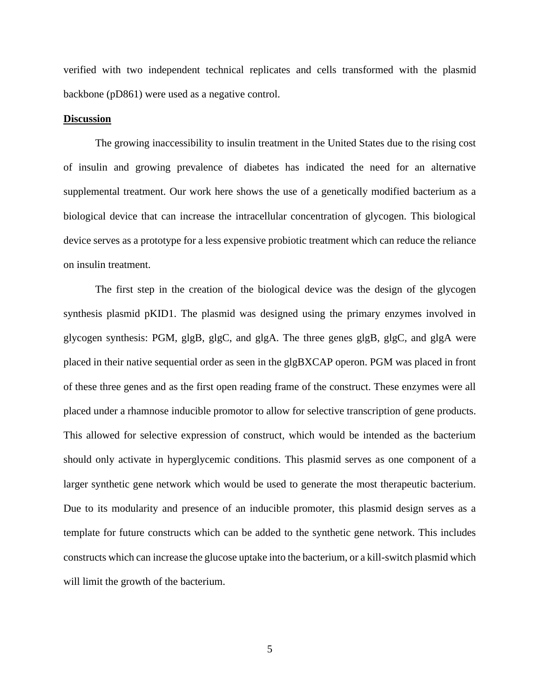verified with two independent technical replicates and cells transformed with the plasmid backbone (pD861) were used as a negative control.

### **Discussion**

The growing inaccessibility to insulin treatment in the United States due to the rising cost of insulin and growing prevalence of diabetes has indicated the need for an alternative supplemental treatment. Our work here shows the use of a genetically modified bacterium as a biological device that can increase the intracellular concentration of glycogen. This biological device serves as a prototype for a less expensive probiotic treatment which can reduce the reliance on insulin treatment.

The first step in the creation of the biological device was the design of the glycogen synthesis plasmid pKID1. The plasmid was designed using the primary enzymes involved in glycogen synthesis: PGM, glgB, glgC, and glgA. The three genes glgB, glgC, and glgA were placed in their native sequential order as seen in the glgBXCAP operon. PGM was placed in front of these three genes and as the first open reading frame of the construct. These enzymes were all placed under a rhamnose inducible promotor to allow for selective transcription of gene products. This allowed for selective expression of construct, which would be intended as the bacterium should only activate in hyperglycemic conditions. This plasmid serves as one component of a larger synthetic gene network which would be used to generate the most therapeutic bacterium. Due to its modularity and presence of an inducible promoter, this plasmid design serves as a template for future constructs which can be added to the synthetic gene network. This includes constructs which can increase the glucose uptake into the bacterium, or a kill-switch plasmid which will limit the growth of the bacterium.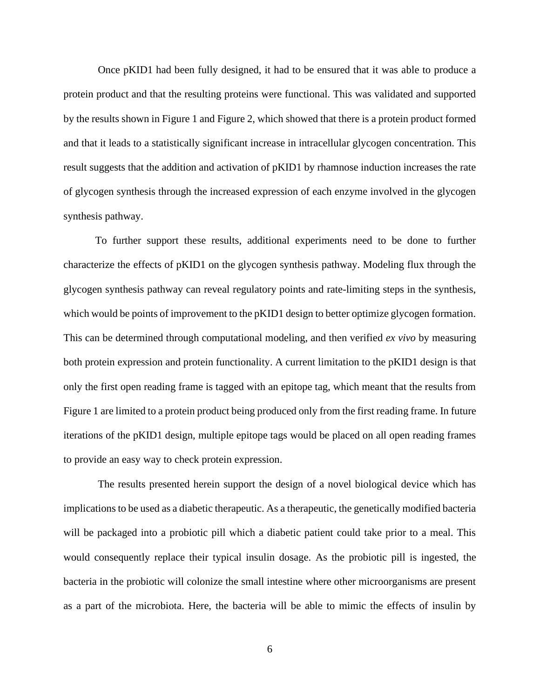Once pKID1 had been fully designed, it had to be ensured that it was able to produce a protein product and that the resulting proteins were functional. This was validated and supported by the results shown in Figure 1 and Figure 2, which showed that there is a protein product formed and that it leads to a statistically significant increase in intracellular glycogen concentration. This result suggests that the addition and activation of pKID1 by rhamnose induction increases the rate of glycogen synthesis through the increased expression of each enzyme involved in the glycogen synthesis pathway.

To further support these results, additional experiments need to be done to further characterize the effects of pKID1 on the glycogen synthesis pathway. Modeling flux through the glycogen synthesis pathway can reveal regulatory points and rate-limiting steps in the synthesis, which would be points of improvement to the pKID1 design to better optimize glycogen formation. This can be determined through computational modeling, and then verified *ex vivo* by measuring both protein expression and protein functionality. A current limitation to the pKID1 design is that only the first open reading frame is tagged with an epitope tag, which meant that the results from Figure 1 are limited to a protein product being produced only from the first reading frame. In future iterations of the pKID1 design, multiple epitope tags would be placed on all open reading frames to provide an easy way to check protein expression.

The results presented herein support the design of a novel biological device which has implications to be used as a diabetic therapeutic. As a therapeutic, the genetically modified bacteria will be packaged into a probiotic pill which a diabetic patient could take prior to a meal. This would consequently replace their typical insulin dosage. As the probiotic pill is ingested, the bacteria in the probiotic will colonize the small intestine where other microorganisms are present as a part of the microbiota. Here, the bacteria will be able to mimic the effects of insulin by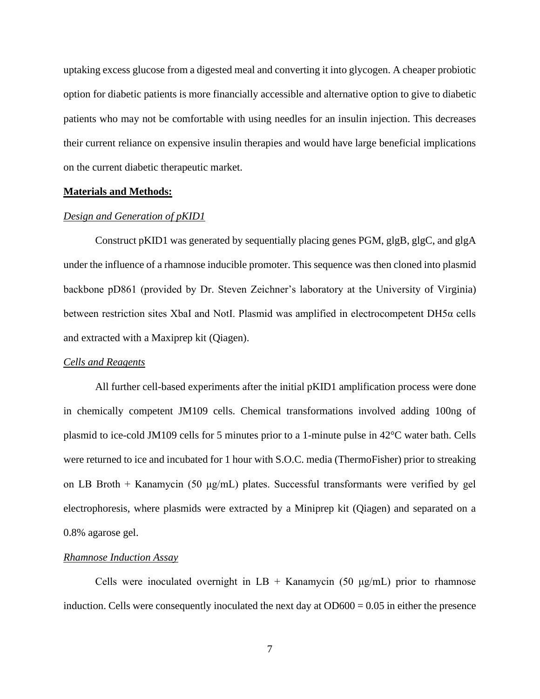uptaking excess glucose from a digested meal and converting it into glycogen. A cheaper probiotic option for diabetic patients is more financially accessible and alternative option to give to diabetic patients who may not be comfortable with using needles for an insulin injection. This decreases their current reliance on expensive insulin therapies and would have large beneficial implications on the current diabetic therapeutic market.

# **Materials and Methods:**

#### *Design and Generation of pKID1*

Construct pKID1 was generated by sequentially placing genes PGM, glgB, glgC, and glgA under the influence of a rhamnose inducible promoter. This sequence was then cloned into plasmid backbone pD861 (provided by Dr. Steven Zeichner's laboratory at the University of Virginia) between restriction sites XbaI and NotI. Plasmid was amplified in electrocompetent DH5α cells and extracted with a Maxiprep kit (Qiagen).

### *Cells and Reagents*

All further cell-based experiments after the initial pKID1 amplification process were done in chemically competent JM109 cells. Chemical transformations involved adding 100ng of plasmid to ice-cold JM109 cells for 5 minutes prior to a 1-minute pulse in 42°C water bath. Cells were returned to ice and incubated for 1 hour with S.O.C. media (ThermoFisher) prior to streaking on LB Broth + Kanamycin (50  $\mu$ g/mL) plates. Successful transformants were verified by gel electrophoresis, where plasmids were extracted by a Miniprep kit (Qiagen) and separated on a 0.8% agarose gel.

#### *Rhamnose Induction Assay*

Cells were inoculated overnight in  $LB +$  Kanamycin (50  $\mu$ g/mL) prior to rhamnose induction. Cells were consequently inoculated the next day at  $OD600 = 0.05$  in either the presence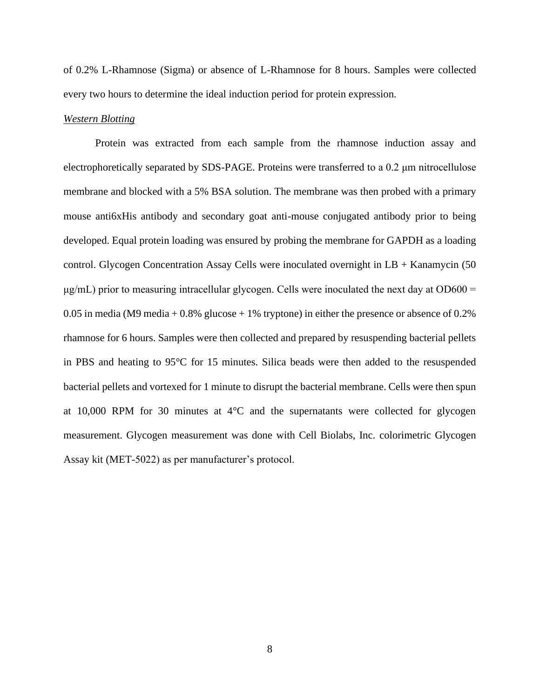of 0.2% L-Rhamnose (Sigma) or absence of L-Rhamnose for 8 hours. Samples were collected every two hours to determine the ideal induction period for protein expression.

#### *Western Blotting*

Protein was extracted from each sample from the rhamnose induction assay and electrophoretically separated by SDS-PAGE. Proteins were transferred to a 0.2 μm nitrocellulose membrane and blocked with a 5% BSA solution. The membrane was then probed with a primary mouse anti6xHis antibody and secondary goat anti-mouse conjugated antibody prior to being developed. Equal protein loading was ensured by probing the membrane for GAPDH as a loading control. Glycogen Concentration Assay Cells were inoculated overnight in LB + Kanamycin (50  $\mu$ g/mL) prior to measuring intracellular glycogen. Cells were inoculated the next day at OD600 = 0.05 in media (M9 media + 0.8% glucose + 1% tryptone) in either the presence or absence of 0.2% rhamnose for 6 hours. Samples were then collected and prepared by resuspending bacterial pellets in PBS and heating to 95°C for 15 minutes. Silica beads were then added to the resuspended bacterial pellets and vortexed for 1 minute to disrupt the bacterial membrane. Cells were then spun at 10,000 RPM for 30 minutes at 4°C and the supernatants were collected for glycogen measurement. Glycogen measurement was done with Cell Biolabs, Inc. colorimetric Glycogen Assay kit (MET-5022) as per manufacturer's protocol.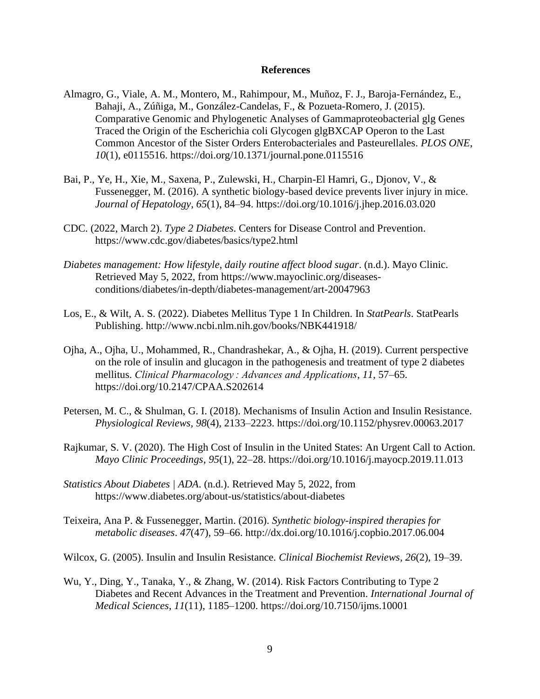#### **References**

- Almagro, G., Viale, A. M., Montero, M., Rahimpour, M., Muñoz, F. J., Baroja-Fernández, E., Bahaji, A., Zúñiga, M., González-Candelas, F., & Pozueta-Romero, J. (2015). Comparative Genomic and Phylogenetic Analyses of Gammaproteobacterial glg Genes Traced the Origin of the Escherichia coli Glycogen glgBXCAP Operon to the Last Common Ancestor of the Sister Orders Enterobacteriales and Pasteurellales. *PLOS ONE*, *10*(1), e0115516. https://doi.org/10.1371/journal.pone.0115516
- Bai, P., Ye, H., Xie, M., Saxena, P., Zulewski, H., Charpin-El Hamri, G., Djonov, V., & Fussenegger, M. (2016). A synthetic biology-based device prevents liver injury in mice. *Journal of Hepatology*, *65*(1), 84–94. https://doi.org/10.1016/j.jhep.2016.03.020
- CDC. (2022, March 2). *Type 2 Diabetes*. Centers for Disease Control and Prevention. https://www.cdc.gov/diabetes/basics/type2.html
- *Diabetes management: How lifestyle, daily routine affect blood sugar*. (n.d.). Mayo Clinic. Retrieved May 5, 2022, from https://www.mayoclinic.org/diseasesconditions/diabetes/in-depth/diabetes-management/art-20047963
- Los, E., & Wilt, A. S. (2022). Diabetes Mellitus Type 1 In Children. In *StatPearls*. StatPearls Publishing. http://www.ncbi.nlm.nih.gov/books/NBK441918/
- Ojha, A., Ojha, U., Mohammed, R., Chandrashekar, A., & Ojha, H. (2019). Current perspective on the role of insulin and glucagon in the pathogenesis and treatment of type 2 diabetes mellitus. *Clinical Pharmacology : Advances and Applications*, *11*, 57–65. https://doi.org/10.2147/CPAA.S202614
- Petersen, M. C., & Shulman, G. I. (2018). Mechanisms of Insulin Action and Insulin Resistance. *Physiological Reviews*, *98*(4), 2133–2223. https://doi.org/10.1152/physrev.00063.2017
- Rajkumar, S. V. (2020). The High Cost of Insulin in the United States: An Urgent Call to Action. *Mayo Clinic Proceedings*, *95*(1), 22–28. https://doi.org/10.1016/j.mayocp.2019.11.013
- *Statistics About Diabetes | ADA*. (n.d.). Retrieved May 5, 2022, from https://www.diabetes.org/about-us/statistics/about-diabetes
- Teixeira, Ana P. & Fussenegger, Martin. (2016). *Synthetic biology-inspired therapies for metabolic diseases*. *47*(47), 59–66. http://dx.doi.org/10.1016/j.copbio.2017.06.004
- Wilcox, G. (2005). Insulin and Insulin Resistance. *Clinical Biochemist Reviews*, *26*(2), 19–39.
- Wu, Y., Ding, Y., Tanaka, Y., & Zhang, W. (2014). Risk Factors Contributing to Type 2 Diabetes and Recent Advances in the Treatment and Prevention. *International Journal of Medical Sciences*, *11*(11), 1185–1200. https://doi.org/10.7150/ijms.10001